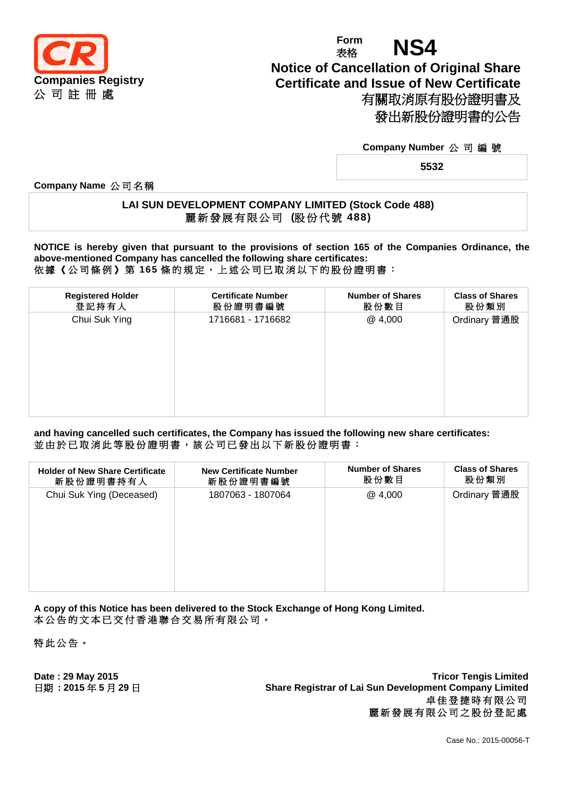

# **Form** Form **NS4 Notice of Cancellation of Original Share Certificate and Issue of New Certificate** 有關取消原有股份證明書及 發出新股份證明書的公告

### **Company Number** 公 司 編 號

**5532**

**Company Name** 公 司 名 稱

## **LAI SUN DEVELOPMENT COMPANY LIMITED (Stock Code 488)** 麗 新 發 展 有 限 公 司 **(**股份代號 **488)**

**NOTICE is hereby given that pursuant to the provisions of section 165 of the Companies Ordinance, the above-mentioned Company has cancelled the following share certificates:** 依 據 《 公 司 條 例 》 第 **165** 條 的 規 定 , 上 述 公 司 已 取 消 以 下 的 股 份 證 明 書 :

| <b>Registered Holder</b> | <b>Certificate Number</b> | <b>Number of Shares</b> | <b>Class of Shares</b> |
|--------------------------|---------------------------|-------------------------|------------------------|
| 登記持有人                    | 股份證明書編號                   | 股份數目                    | 股份類別                   |
| Chui Suk Ying            | 1716681 - 1716682         | @4,000                  | Ordinary 普通股           |

**and having cancelled such certificates, the Company has issued the following new share certificates:** 並由於已取消此等股份證明書,該公司已發出以下新股份證明書:

| <b>Holder of New Share Certificate</b><br>新股份證明書持有人 | <b>New Certificate Number</b><br>新股份證明書編號 | <b>Number of Shares</b><br>股份數目 | <b>Class of Shares</b><br>股份類別 |  |
|-----------------------------------------------------|-------------------------------------------|---------------------------------|--------------------------------|--|
| Chui Suk Ying (Deceased)                            | 1807063 - 1807064                         | @4,000                          | Ordinary 普通股                   |  |

**A copy of this Notice has been delivered to the Stock Exchange of Hong Kong Limited.** 本 公 告 的 文 本 已 交 付 香 港 聯 合 交 易 所 有 限 公 司 。

特 此 公 告 。

**Date : 29 May 2015 Tricor Tengis Limited** 日期 **: 2015** 年 **5** 月 **29** 日 **Share Registrar of Lai Sun Development Company Limited** 卓 佳 登 捷 時 有 限 公 司 麗新發展有限公司之股份登記處